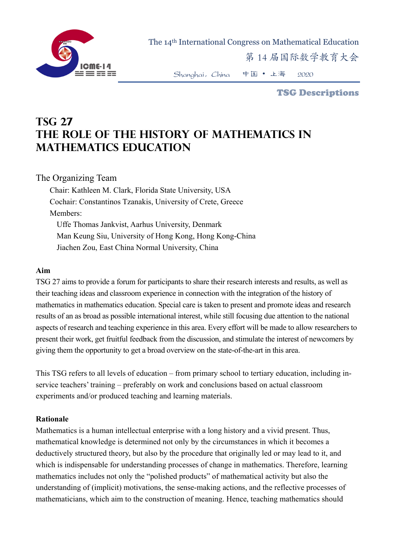

The 14th International Congress on Mathematical Education

第 14 届国际数学教育大会

Shanghai,China 中国 • 上海 2020

TSG Descriptions

# **TSG 27 The Role of the History of Mathematics in Mathematics Education**

## The Organizing Team

Chair: Kathleen M. Clark, Florida State University, USA Cochair: Constantinos Tzanakis, University of Crete, Greece Members: Uffe Thomas Jankvist, Aarhus University, Denmark Man Keung Siu, University of Hong Kong, Hong Kong-China Jiachen Zou, East China Normal University, China

#### **Aim**

TSG 27 aims to provide a forum for participants to share their research interests and results, as well as their teaching ideas and classroom experience in connection with the integration of the history of mathematics in mathematics education. Special care is taken to present and promote ideas and research results of an as broad as possible international interest, while still focusing due attention to the national aspects of research and teaching experience in this area. Every effort will be made to allow researchers to present their work, get fruitful feedback from the discussion, and stimulate the interest of newcomers by giving them the opportunity to get a broad overview on the state-of-the-art in this area.

This TSG refers to all levels of education – from primary school to tertiary education, including inservice teachers' training – preferably on work and conclusions based on actual classroom experiments and/or produced teaching and learning materials.

### **Rationale**

Mathematics is a human intellectual enterprise with a long history and a vivid present. Thus, mathematical knowledge is determined not only by the circumstances in which it becomes a deductively structured theory, but also by the procedure that originally led or may lead to it, and which is indispensable for understanding processes of change in mathematics. Therefore, learning mathematics includes not only the "polished products" of mathematical activity but also the understanding of (implicit) motivations, the sense-making actions, and the reflective processes of mathematicians, which aim to the construction of meaning. Hence, teaching mathematics should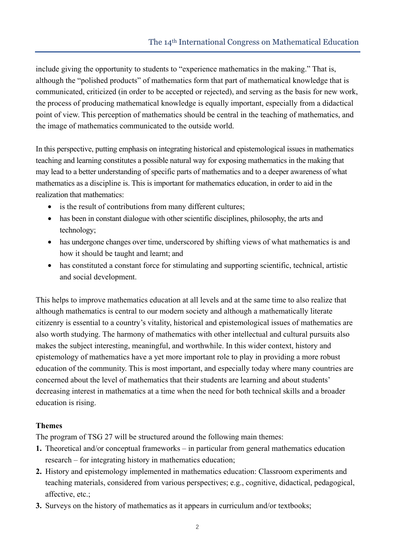include giving the opportunity to students to "experience mathematics in the making." That is, although the "polished products" of mathematics form that part of mathematical knowledge that is communicated, criticized (in order to be accepted or rejected), and serving as the basis for new work, the process of producing mathematical knowledge is equally important, especially from a didactical point of view. This perception of mathematics should be central in the teaching of mathematics, and the image of mathematics communicated to the outside world.

In this perspective, putting emphasis on integrating historical and epistemological issues in mathematics teaching and learning constitutes a possible natural way for exposing mathematics in the making that may lead to a better understanding of specific parts of mathematics and to a deeper awareness of what mathematics as a discipline is. This is important for mathematics education, in order to aid in the realization that mathematics:

- is the result of contributions from many different cultures;
- has been in constant dialogue with other scientific disciplines, philosophy, the arts and technology;
- has undergone changes over time, underscored by shifting views of what mathematics is and how it should be taught and learnt; and
- has constituted a constant force for stimulating and supporting scientific, technical, artistic and social development.

This helps to improve mathematics education at all levels and at the same time to also realize that although mathematics is central to our modern society and although a mathematically literate citizenry is essential to a country's vitality, historical and epistemological issues of mathematics are also worth studying. The harmony of mathematics with other intellectual and cultural pursuits also makes the subject interesting, meaningful, and worthwhile. In this wider context, history and epistemology of mathematics have a yet more important role to play in providing a more robust education of the community. This is most important, and especially today where many countries are concerned about the level of mathematics that their students are learning and about students' decreasing interest in mathematics at a time when the need for both technical skills and a broader education is rising.

## **Themes**

The program of TSG 27 will be structured around the following main themes:

- **1.** Theoretical and/or conceptual frameworks in particular from general mathematics education research – for integrating history in mathematics education;
- **2.** History and epistemology implemented in mathematics education: Classroom experiments and teaching materials, considered from various perspectives; e.g., cognitive, didactical, pedagogical, affective, etc.;
- **3.** Surveys on the history of mathematics as it appears in curriculum and/or textbooks;